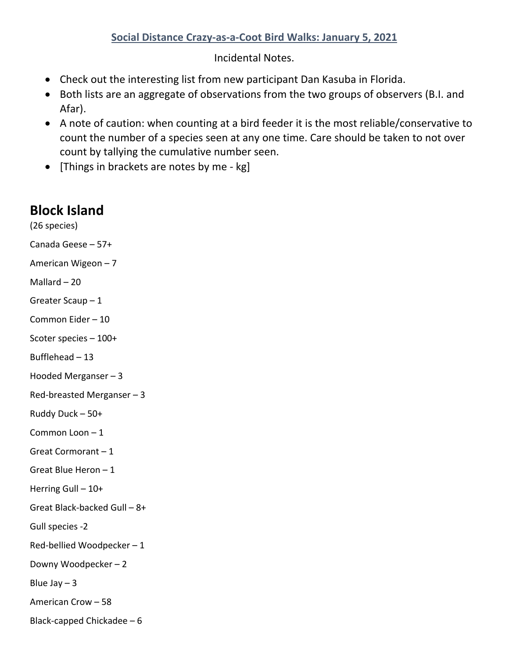## **Social Distance Crazy-as-a-Coot Bird Walks: January 5, 2021**

Incidental Notes.

- Check out the interesting list from new participant Dan Kasuba in Florida.
- Both lists are an aggregate of observations from the two groups of observers (B.I. and Afar).
- A note of caution: when counting at a bird feeder it is the most reliable/conservative to count the number of a species seen at any one time. Care should be taken to not over count by tallying the cumulative number seen.
- [Things in brackets are notes by me kg]

## **Block Island**

(26 species) Canada Geese – 57+

American Wigeon – 7

Mallard – 20

Greater Scaup – 1

Common Eider – 10

Scoter species – 100+

Bufflehead – 13

Hooded Merganser – 3

Red-breasted Merganser – 3

Ruddy Duck – 50+

Common Loon – 1

Great Cormorant – 1

Great Blue Heron – 1

Herring Gull – 10+

Great Black-backed Gull – 8+

Gull species -2

Red-bellied Woodpecker – 1

Downy Woodpecker – 2

Blue Jay  $-3$ 

American Crow – 58

Black-capped Chickadee – 6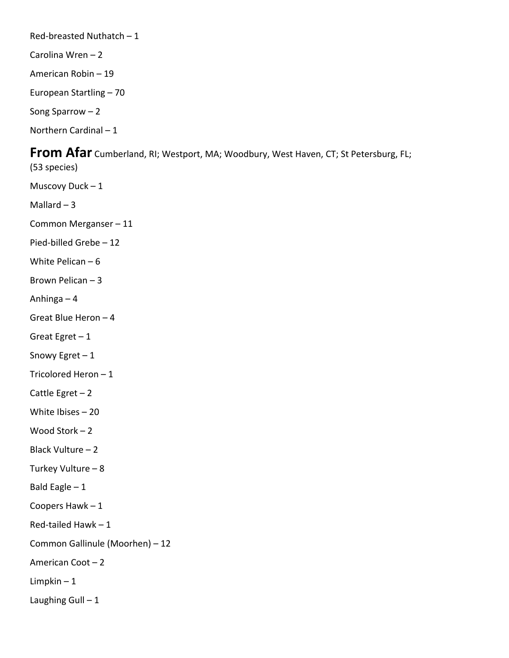Red-breasted Nuthatch – 1

Carolina Wren – 2

American Robin – 19

European Startling – 70

Song Sparrow – 2

Northern Cardinal – 1

## **From Afar** Cumberland, RI; Westport, MA; Woodbury, West Haven, CT; St Petersburg, FL;

(53 species) Muscovy Duck – 1 Mallard  $-3$ Common Merganser – 11 Pied-billed Grebe – 12 White Pelican – 6 Brown Pelican – 3 Anhinga – 4 Great Blue Heron – 4 Great Egret – 1 Snowy Egret – 1 Tricolored Heron – 1 Cattle Egret – 2 White Ibises – 20 Wood Stork – 2 Black Vulture – 2 Turkey Vulture – 8 Bald Eagle – 1 Coopers Hawk – 1 Red-tailed Hawk – 1 Common Gallinule (Moorhen) – 12 American Coot – 2 Limpkin – 1 Laughing Gull  $-1$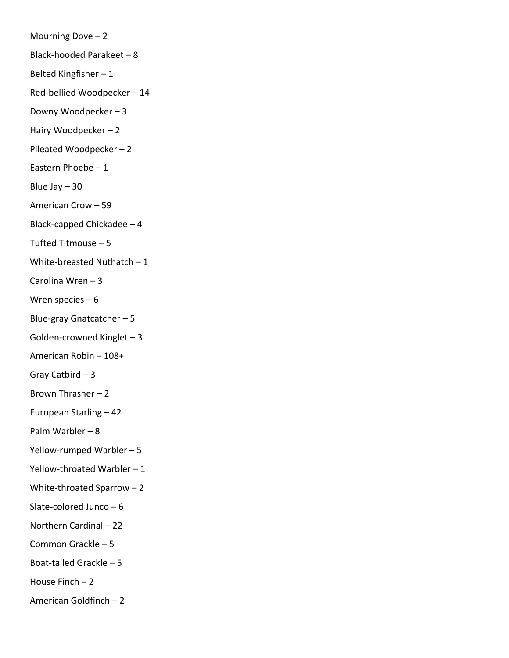Mourning Dove  $-2$ Black-hooded Parakeet – 8 Belted Kingfisher – 1 Red-bellied Woodpecker – 14 Downy Woodpecker – 3 Hairy Woodpecker – 2 Pileated Woodpecker – 2 Eastern Phoebe – 1 Blue Jay – 30 American Crow – 59 Black-capped Chickadee – 4 Tufted Titmouse – 5 White-breasted Nuthatch – 1 Carolina Wren – 3 Wren species – 6 Blue-gray Gnatcatcher – 5 Golden-crowned Kinglet – 3 American Robin – 108+ Gray Catbird – 3 Brown Thrasher – 2 European Starling – 42 Palm Warbler – 8 Yellow-rumped Warbler – 5 Yellow-throated Warbler – 1 White-throated Sparrow – 2 Slate-colored Junco – 6 Northern Cardinal – 22 Common Grackle – 5 Boat-tailed Grackle – 5 House Finch  $-2$ American Goldfinch – 2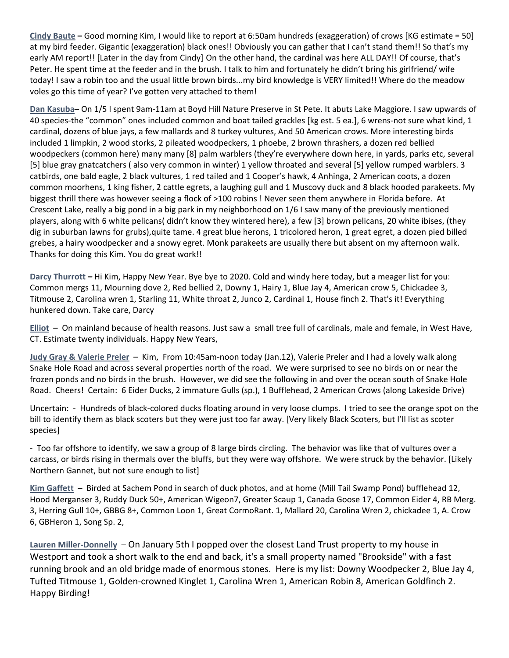**Cindy Baute –** Good morning Kim, I would like to report at 6:50am hundreds (exaggeration) of crows [KG estimate = 50] at my bird feeder. Gigantic (exaggeration) black ones!! Obviously you can gather that I can't stand them!! So that's my early AM report!! [Later in the day from Cindy] On the other hand, the cardinal was here ALL DAY!! Of course, that's Peter. He spent time at the feeder and in the brush. I talk to him and fortunately he didn't bring his girlfriend/ wife today! I saw a robin too and the usual little brown birds...my bird knowledge is VERY limited!! Where do the meadow voles go this time of year? I've gotten very attached to them!

**Dan Kasuba–** On 1/5 I spent 9am-11am at Boyd Hill Nature Preserve in St Pete. It abuts Lake Maggiore. I saw upwards of 40 species-the "common" ones included common and boat tailed grackles [kg est. 5 ea.], 6 wrens-not sure what kind, 1 cardinal, dozens of blue jays, a few mallards and 8 turkey vultures, And 50 American crows. More interesting birds included 1 limpkin, 2 wood storks, 2 pileated woodpeckers, 1 phoebe, 2 brown thrashers, a dozen red bellied woodpeckers (common here) many many [8] palm warblers (they're everywhere down here, in yards, parks etc, several [5] blue gray gnatcatchers ( also very common in winter) 1 yellow throated and several [5] yellow rumped warblers. 3 catbirds, one bald eagle, 2 black vultures, 1 red tailed and 1 Cooper's hawk, 4 Anhinga, 2 American coots, a dozen common moorhens, 1 king fisher, 2 cattle egrets, a laughing gull and 1 Muscovy duck and 8 black hooded parakeets. My biggest thrill there was however seeing a flock of >100 robins ! Never seen them anywhere in Florida before. At Crescent Lake, really a big pond in a big park in my neighborhood on 1/6 I saw many of the previously mentioned players, along with 6 white pelicans( didn't know they wintered here), a few [3] brown pelicans, 20 white ibises, (they dig in suburban lawns for grubs),quite tame. 4 great blue herons, 1 tricolored heron, 1 great egret, a dozen pied billed grebes, a hairy woodpecker and a snowy egret. Monk parakeets are usually there but absent on my afternoon walk. Thanks for doing this Kim. You do great work!!

**Darcy Thurrott –** Hi Kim, Happy New Year. Bye bye to 2020. Cold and windy here today, but a meager list for you: Common mergs 11, Mourning dove 2, Red bellied 2, Downy 1, Hairy 1, Blue Jay 4, American crow 5, Chickadee 3, Titmouse 2, Carolina wren 1, Starling 11, White throat 2, Junco 2, Cardinal 1, House finch 2. That's it! Everything hunkered down. Take care, Darcy

**Elliot** – On mainland because of health reasons. Just saw a small tree full of cardinals, male and female, in West Have, CT. Estimate twenty individuals. Happy New Years,

**Judy Gray & Valerie Preler** – Kim, From 10:45am-noon today (Jan.12), Valerie Preler and I had a lovely walk along Snake Hole Road and across several properties north of the road. We were surprised to see no birds on or near the frozen ponds and no birds in the brush. However, we did see the following in and over the ocean south of Snake Hole Road. Cheers! Certain: 6 Eider Ducks, 2 immature Gulls (sp.), 1 Bufflehead, 2 American Crows (along Lakeside Drive)

Uncertain: - Hundreds of black-colored ducks floating around in very loose clumps. I tried to see the orange spot on the bill to identify them as black scoters but they were just too far away. [Very likely Black Scoters, but I'll list as scoter species]

- Too far offshore to identify, we saw a group of 8 large birds circling. The behavior was like that of vultures over a carcass, or birds rising in thermals over the bluffs, but they were way offshore. We were struck by the behavior. [Likely Northern Gannet, but not sure enough to list]

**Kim Gaffett** – Birded at Sachem Pond in search of duck photos, and at home (Mill Tail Swamp Pond) bufflehead 12, Hood Merganser 3, Ruddy Duck 50+, American Wigeon7, Greater Scaup 1, Canada Goose 17, Common Eider 4, RB Merg. 3, Herring Gull 10+, GBBG 8+, Common Loon 1, Great CormoRant. 1, Mallard 20, Carolina Wren 2, chickadee 1, A. Crow 6, GBHeron 1, Song Sp. 2,

**Lauren Miller-Donnelly** – On January 5th I popped over the closest Land Trust property to my house in Westport and took a short walk to the end and back, it's a small property named "Brookside" with a fast running brook and an old bridge made of enormous stones. Here is my list: Downy Woodpecker 2, Blue Jay 4, Tufted Titmouse 1, Golden-crowned Kinglet 1, Carolina Wren 1, American Robin 8, American Goldfinch 2. Happy Birding!